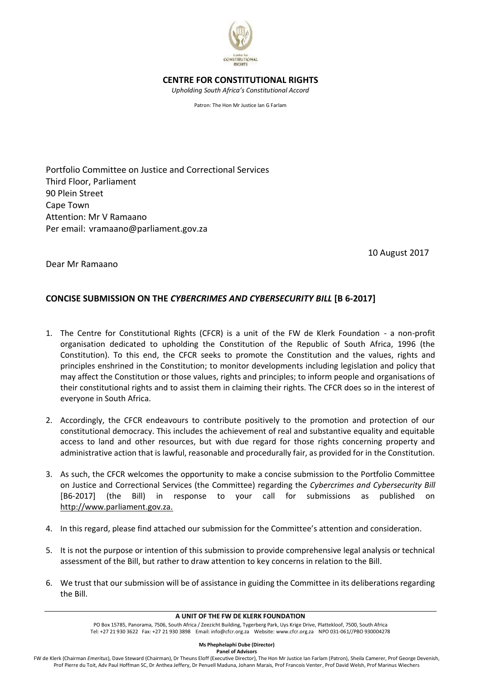

# **CENTRE FOR CONSTITUTIONAL RIGHTS**

*Upholding South Africa's Constitutional Accord*

Patron: The Hon Mr Justice Ian G Farlam

Portfolio Committee on Justice and Correctional Services Third Floor, Parliament 90 Plein Street Cape Town Attention: Mr V Ramaano Per email: vramaano@parliament.gov.za

10 August 2017

Dear Mr Ramaano

# **CONCISE SUBMISSION ON THE** *CYBERCRIMES AND CYBERSECURITY BILL* **[B 6-2017]**

- 1. The Centre for Constitutional Rights (CFCR) is a unit of the FW de Klerk Foundation a non-profit organisation dedicated to upholding the Constitution of the Republic of South Africa, 1996 (the Constitution). To this end, the CFCR seeks to promote the Constitution and the values, rights and principles enshrined in the Constitution; to monitor developments including legislation and policy that may affect the Constitution or those values, rights and principles; to inform people and organisations of their constitutional rights and to assist them in claiming their rights. The CFCR does so in the interest of everyone in South Africa.
- 2. Accordingly, the CFCR endeavours to contribute positively to the promotion and protection of our constitutional democracy. This includes the achievement of real and substantive equality and equitable access to land and other resources, but with due regard for those rights concerning property and administrative action that is lawful, reasonable and procedurally fair, as provided for in the Constitution.
- 3. As such, the CFCR welcomes the opportunity to make a concise submission to the Portfolio Committee on Justice and Correctional Services (the Committee) regarding the *Cybercrimes and Cybersecurity Bill* [B6-2017] (the Bill) in response to your call for submissions as published on http://www.parliament.gov.za.
- 4. In this regard, please find attached our submission for the Committee's attention and consideration.
- 5. It is not the purpose or intention of this submission to provide comprehensive legal analysis or technical assessment of the Bill, but rather to draw attention to key concerns in relation to the Bill.
- 6. We trust that our submission will be of assistance in guiding the Committee in its deliberations regarding the Bill.

#### **A UNIT OF THE FW DE KLERK FOUNDATION**

PO Box 15785, Panorama, 7506, South Africa / Zeezicht Building, Tygerberg Park, Uys Krige Drive, Plattekloof, 7500, South Africa Tel: +27 21 930 3622 Fax: +27 21 930 3898 Email: info@cfcr.org.za Website: [www.cfcr.org.za](http://www.cfcr.org.za/) NPO 031-061//PBO 930004278

**Panel of Advisors**

FW de Klerk (Chairman *Emeritus*), Dave Steward (Chairman), Dr Theuns Eloff (Executive Director), The Hon Mr Justice Ian Farlam (Patron), Sheila Camerer, Prof George Devenish, Prof Pierre du Toit, Adv Paul Hoffman SC, Dr Anthea Jeffery, Dr Penuell Maduna, Johann Marais, Prof Francois Venter, Prof David Welsh, Prof Marinus Wiechers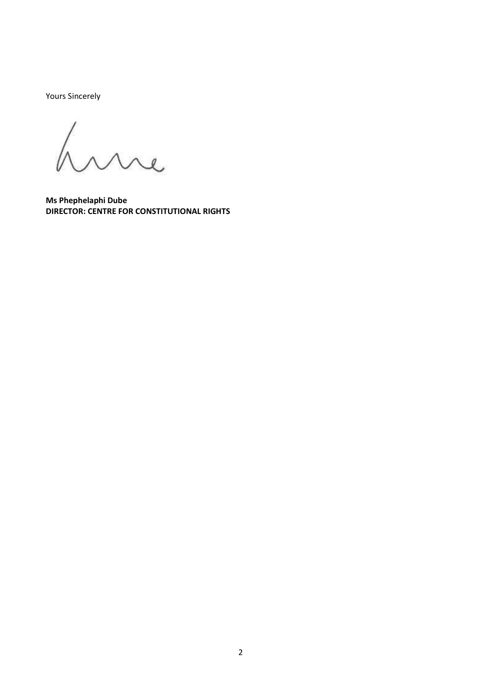Yours Sincerely

Lure

**Ms Phephelaphi Dube DIRECTOR: CENTRE FOR CONSTITUTIONAL RIGHTS**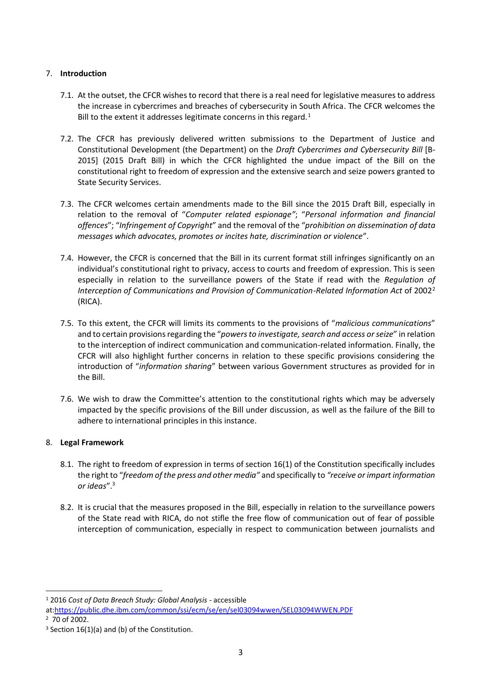## 7. **Introduction**

- 7.1. At the outset, the CFCR wishes to record that there is a real need for legislative measures to address the increase in cybercrimes and breaches of cybersecurity in South Africa. The CFCR welcomes the Bill to the extent it addresses legitimate concerns in this regard.<sup>1</sup>
- 7.2. The CFCR has previously delivered written submissions to the Department of Justice and Constitutional Development (the Department) on the *Draft Cybercrimes and Cybersecurity Bill* [B-2015] (2015 Draft Bill) in which the CFCR highlighted the undue impact of the Bill on the constitutional right to freedom of expression and the extensive search and seize powers granted to State Security Services.
- 7.3. The CFCR welcomes certain amendments made to the Bill since the 2015 Draft Bill, especially in relation to the removal of "*Computer related espionage"*; "*Personal information and financial offences*"; "*Infringement of Copyright*" and the removal of the "*prohibition on dissemination of data messages which advocates, promotes or incites hate, discrimination or violence*".
- 7.4. However, the CFCR is concerned that the Bill in its current format still infringes significantly on an individual's constitutional right to privacy, access to courts and freedom of expression. This is seen especially in relation to the surveillance powers of the State if read with the *Regulation of Interception of Communications and Provision of Communication-Related Information Act* of 2002<sup>2</sup> (RICA).
- 7.5. To this extent, the CFCR will limits its comments to the provisions of "*malicious communications*" and to certain provisions regarding the "*powers to investigate, search and access or seize*" in relation to the interception of indirect communication and communication-related information. Finally, the CFCR will also highlight further concerns in relation to these specific provisions considering the introduction of "*information sharing*" between various Government structures as provided for in the Bill.
- 7.6. We wish to draw the Committee's attention to the constitutional rights which may be adversely impacted by the specific provisions of the Bill under discussion, as well as the failure of the Bill to adhere to international principles in this instance.

# 8. **Legal Framework**

- 8.1. The right to freedom of expression in terms of section 16(1) of the Constitution specifically includes the right to "*freedom of the press and other media"* and specifically to *"receive or impart information or ideas*".<sup>3</sup>
- 8.2. It is crucial that the measures proposed in the Bill, especially in relation to the surveillance powers of the State read with RICA, do not stifle the free flow of communication out of fear of possible interception of communication, especially in respect to communication between journalists and

 $\overline{a}$ <sup>1</sup> 2016 *Cost of Data Breach Study: Global Analysis -* accessible

at[:https://public.dhe.ibm.com/common/ssi/ecm/se/en/sel03094wwen/SEL03094WWEN.PDF](https://public.dhe.ibm.com/common/ssi/ecm/se/en/sel03094wwen/SEL03094WWEN.PDF) 2 70 of 2002.

 $3$  Section 16(1)(a) and (b) of the Constitution.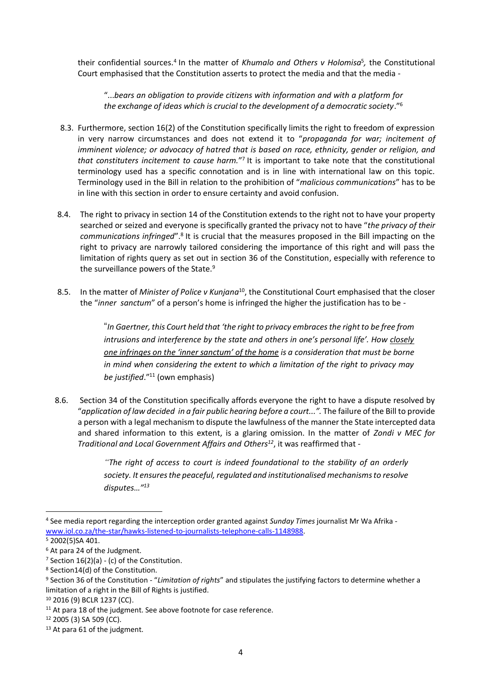their confidential sources.<sup>4</sup> In the matter of *Khumalo and Others v Holomisa<sup>5</sup>*, the Constitutional Court emphasised that the Constitution asserts to protect the media and that the media -

"...*bears an obligation to provide citizens with information and with a platform for the exchange of ideas which is crucial to the development of a democratic society*."<sup>6</sup>

- 8.3. Furthermore, section 16(2) of the Constitution specifically limits the right to freedom of expression in very narrow circumstances and does not extend it to "*propaganda for war; incitement of imminent violence; or advocacy of hatred that is based on race, ethnicity, gender or religion, and that constituters incitement to cause harm.*" 7 It is important to take note that the constitutional terminology used has a specific connotation and is in line with international law on this topic. Terminology used in the Bill in relation to the prohibition of "*malicious communications*" has to be in line with this section in order to ensure certainty and avoid confusion.
- 8.4. The right to privacy in section 14 of the Constitution extends to the right not to have your property searched or seized and everyone is specifically granted the privacy not to have "*the privacy of their*  communications infringed".<sup>8</sup> It is crucial that the measures proposed in the Bill impacting on the right to privacy are narrowly tailored considering the importance of this right and will pass the limitation of rights query as set out in section 36 of the Constitution, especially with reference to the surveillance powers of the State.<sup>9</sup>
- 8.5. In the matter of *Minister of Police v Kunjana*<sup>10</sup>, the Constitutional Court emphasised that the closer the "*inner sanctum*" of a person's home is infringed the higher the justification has to be -

"*In Gaertner, this Court held that 'the right to privacy embraces the right to be free from intrusions and interference by the state and others in one's personal life'. How closely one infringes on the 'inner sanctum' of the home is a consideration that must be borne in mind when considering the extent to which a limitation of the right to privacy may be justified*."<sup>11</sup> (own emphasis)

8.6. Section 34 of the Constitution specifically affords everyone the right to have a dispute resolved by "*application of law decided in a fair public hearing before a court...".* The failure of the Bill to provide a person with a legal mechanism to dispute the lawfulness of the manner the State intercepted data and shared information to this extent, is a glaring omission. In the matter of *Zondi v MEC for Traditional and Local Government Affairs and Others<sup>12</sup>*, it was reaffirmed that -

> *"The right of access to court is indeed foundational to the stability of an orderly society. It ensures the peaceful, regulated and institutionalised mechanisms to resolve disputes…"<sup>13</sup>*

<sup>4</sup> See media report regarding the interception order granted against *Sunday Times* journalist Mr Wa Afrika [www.iol.co.za/the-star/hawks-listened-to-journalists-telephone-calls-1148988.](http://www.iol.co.za/the-star/hawks-listened-to-journalists-telephone-calls-1148988)

<sup>5</sup> 2002(5)SA 401.

<sup>6</sup> At para 24 of the Judgment.

<sup>&</sup>lt;sup>7</sup> Section  $16(2)(a)$  - (c) of the Constitution.

<sup>8</sup> Section14(d) of the Constitution.

<sup>9</sup> Section 36 of the Constitution - "*Limitation of rights*" and stipulates the justifying factors to determine whether a limitation of a right in the Bill of Rights is justified.

<sup>10</sup> 2016 (9) BCLR 1237 (CC).

<sup>&</sup>lt;sup>11</sup> At para 18 of the judgment. See above footnote for case reference.

<sup>12</sup> 2005 (3) SA 509 (CC).

<sup>&</sup>lt;sup>13</sup> At para 61 of the judgment.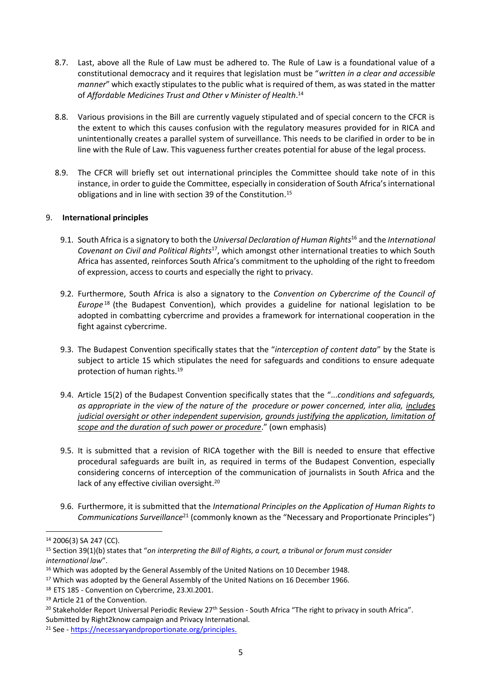- 8.7. Last, above all the Rule of Law must be adhered to. The Rule of Law is a foundational value of a constitutional democracy and it requires that legislation must be "*written in a clear and accessible manner*" which exactly stipulates to the public what is required of them, as was stated in the matter of *Affordable Medicines Trust and Other v Minister of Health*. 14
- 8.8. Various provisions in the Bill are currently vaguely stipulated and of special concern to the CFCR is the extent to which this causes confusion with the regulatory measures provided for in RICA and unintentionally creates a parallel system of surveillance. This needs to be clarified in order to be in line with the Rule of Law. This vagueness further creates potential for abuse of the legal process.
- 8.9. The CFCR will briefly set out international principles the Committee should take note of in this instance, in order to guide the Committee, especially in consideration of South Africa's international obligations and in line with section 39 of the Constitution.<sup>15</sup>

#### 9. **International principles**

- 9.1. South Africa is a signatory to both the *Universal Declaration of Human Rights*<sup>16</sup> and the *International*  Covenant on Civil and Political Rights<sup>17</sup>, which amongst other international treaties to which South Africa has assented, reinforces South Africa's commitment to the upholding of the right to freedom of expression, access to courts and especially the right to privacy.
- 9.2. Furthermore, South Africa is also a signatory to the *Convention on Cybercrime of the Council of Europe* <sup>18</sup> (the Budapest Convention), which provides a guideline for national legislation to be adopted in combatting cybercrime and provides a framework for international cooperation in the fight against cybercrime.
- 9.3. The Budapest Convention specifically states that the "*interception of content data*" by the State is subject to article 15 which stipulates the need for safeguards and conditions to ensure adequate protection of human rights.<sup>19</sup>
- 9.4. Article 15(2) of the Budapest Convention specifically states that the "...*conditions and safeguards, as appropriate in the view of the nature of the procedure or power concerned, inter alia, includes judicial oversight or other independent supervision, grounds justifying the application, limitation of scope and the duration of such power or procedure*." (own emphasis)
- 9.5. It is submitted that a revision of RICA together with the Bill is needed to ensure that effective procedural safeguards are built in, as required in terms of the Budapest Convention, especially considering concerns of interception of the communication of journalists in South Africa and the lack of any effective civilian oversight.<sup>20</sup>
- 9.6. Furthermore, it is submitted that the *International Principles on the Application of Human Rights to Communications Surveillance*<sup>21</sup> (commonly known as the "Necessary and Proportionate Principles")

<sup>14</sup> 2006(3) SA 247 (CC).

<sup>15</sup> Section 39(1)(b) states that "*on interpreting the Bill of Rights, a court, a tribunal or forum must consider international law*".

<sup>&</sup>lt;sup>16</sup> Which was adopted by the General Assembly of the United Nations on 10 December 1948.

<sup>&</sup>lt;sup>17</sup> Which was adopted by the General Assembly of the United Nations on 16 December 1966.

<sup>18</sup> ETS 185 - Convention on Cybercrime, 23.XI.2001.

<sup>19</sup> Article 21 of the Convention.

<sup>&</sup>lt;sup>20</sup> Stakeholder Report Universal Periodic Review 27<sup>th</sup> Session - South Africa "The right to privacy in south Africa".

Submitted by Right2know campaign and Privacy International.

<sup>21</sup> See - [https://necessaryandproportionate.org/principles.](https://necessaryandproportionate.org/principles)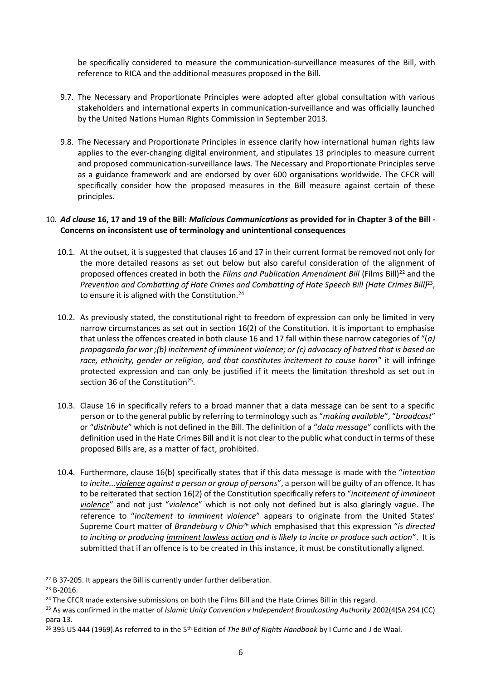be specifically considered to measure the communication-surveillance measures of the Bill, with reference to RICA and the additional measures proposed in the Bill.

- 9.7. The Necessary and Proportionate Principles were adopted after global consultation with various stakeholders and international experts in communication-surveillance and was officially launched by the United Nations Human Rights Commission in September 2013.
- 9.8. The Necessary and Proportionate Principles in essence clarify how international human rights law applies to the ever-changing digital environment, and stipulates 13 principles to measure current and proposed communication-surveillance laws. The Necessary and Proportionate Principles serve as a guidance framework and are endorsed by over 600 organisations worldwide. The CFCR will specifically consider how the proposed measures in the Bill measure against certain of these principles.

### 10. *Ad clause* **16, 17 and 19 of the Bill:** *Malicious Communications* **as provided for in Chapter 3 of the Bill - Concerns on inconsistent use of terminology and unintentional consequences**

- 10.1. At the outset, it is suggested that clauses 16 and 17 in their current format be removed not only for the more detailed reasons as set out below but also careful consideration of the alignment of proposed offences created in both the *Films and Publication Amendment Bill* (Films Bill)<sup>22</sup> and the Prevention and Combatting of Hate Crimes and Combatting of Hate Speech Bill (Hate Crimes Bill)<sup>23</sup>, to ensure it is aligned with the Constitution.<sup>24</sup>
- 10.2. As previously stated, the constitutional right to freedom of expression can only be limited in very narrow circumstances as set out in section 16(2) of the Constitution. It is important to emphasise that unless the offences created in both clause 16 and 17 fall within these narrow categories of "(*a) propaganda for war ;(b) incitement of imminent violence; or (c) advocacy of hatred that is based on race, ethnicity, gender or religion, and that constitutes incitement to cause harm*" it will infringe protected expression and can only be justified if it meets the limitation threshold as set out in section 36 of the Constitution<sup>25</sup>.
- 10.3. Clause 16 in specifically refers to a broad manner that a data message can be sent to a specific person or to the general public by referring to terminology such as "*making available*", "*broadcast*" or "*distribute*" which is not defined in the Bill. The definition of a "*data message*" conflicts with the definition used in the Hate Crimes Bill and it is not clear to the public what conduct in terms of these proposed Bills are, as a matter of fact, prohibited.
- 10.4. Furthermore, clause 16(b) specifically states that if this data message is made with the "*intention to incite...violence against a person or group of persons*", a person will be guilty of an offence. It has to be reiterated that section 16(2) of the Constitution specifically refers to "*incitement of imminent violence*" and not just "*violence*" which is not only not defined but is also glaringly vague. The reference to "*incitement to imminent violence*" appears to originate from the United States' Supreme Court matter of *Brandeburg v Ohio<sup>26</sup> which* emphasised that this expression "*is directed to inciting or producing imminent lawless action and is likely to incite or produce such action*". It is submitted that if an offence is to be created in this instance, it must be constitutionally aligned.

<sup>&</sup>lt;sup>22</sup> B 37-205. It appears the Bill is currently under further deliberation.

 $23$  B-2016

<sup>&</sup>lt;sup>24</sup> The CFCR made extensive submissions on both the Films Bill and the Hate Crimes Bill in this regard.

<sup>25</sup> As was confirmed in the matter of *Islamic Unity Convention v Independent Broadcasting Authority* 2002(4)SA 294 (CC) para 13.

<sup>26</sup> 395 US 444 (1969).As referred to in the 5th Edition of *The Bill of Rights Handbook* by I Currie and J de Waal.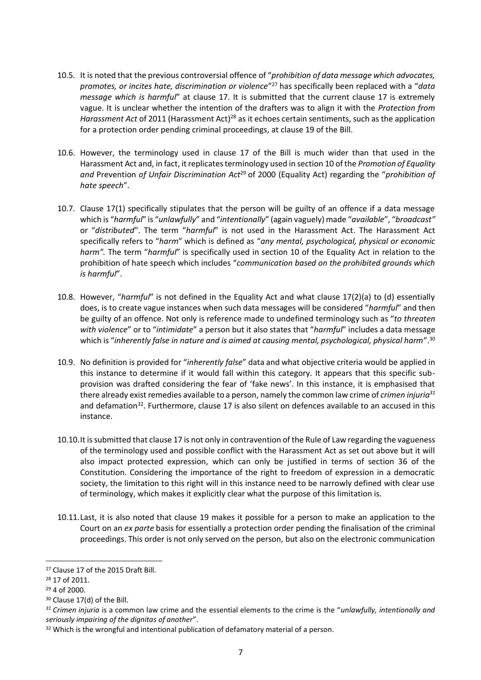- 10.5. It is noted that the previous controversial offence of "*prohibition of data message which advocates, promotes, or incites hate, discrimination or violence*" <sup>27</sup> has specifically been replaced with a "*data message which is harmful*" at clause 17. It is submitted that the current clause 17 is extremely vague. It is unclear whether the intention of the drafters was to align it with the *Protection from*  Harassment Act of 2011 (Harassment Act)<sup>28</sup> as it echoes certain sentiments, such as the application for a protection order pending criminal proceedings, at clause 19 of the Bill.
- 10.6. However, the terminology used in clause 17 of the Bill is much wider than that used in the Harassment Act and, in fact, it replicates terminology used in section 10 of the *Promotion of Equality and* Prevention *of Unfair Discrimination Act*<sup>29</sup> of 2000 (Equality Act) regarding the "*prohibition of hate speech*".
- 10.7. Clause 17(1) specifically stipulates that the person will be guilty of an offence if a data message which is "*harmful*" is "*unlawfully*" and "*intentionally*" (again vaguely) made "*available*", "*broadcast"* or "*distributed*". The term "*harmful*" is not used in the Harassment Act. The Harassment Act specifically refers to "*harm*" which is defined as "*any mental, psychological, physical or economic harm".* The term "*harmful*" is specifically used in section 10 of the Equality Act in relation to the prohibition of hate speech which includes "*communication based on the prohibited grounds which is harmful*".
- 10.8. However, "*harmful*" is not defined in the Equality Act and what clause 17(2)(a) to (d) essentially does, is to create vague instances when such data messages will be considered "*harmful*" and then be guilty of an offence. Not only is reference made to undefined terminology such as "*to threaten with violence*" or to "*intimidate*" a person but it also states that "*harmful*" includes a data message which is "*inherently false in nature and is aimed at causing mental, psychological, physical harm*".<sup>30</sup>
- 10.9. No definition is provided for "*inherently false*" data and what objective criteria would be applied in this instance to determine if it would fall within this category. It appears that this specific subprovision was drafted considering the fear of 'fake news'. In this instance, it is emphasised that there already exist remedies available to a person, namely the common law crime of *crimen injuria<sup>31</sup>* and defamation<sup>32</sup>. Furthermore, clause 17 is also silent on defences available to an accused in this instance.
- 10.10.It is submitted that clause 17 is not only in contravention of the Rule of Law regarding the vagueness of the terminology used and possible conflict with the Harassment Act as set out above but it will also impact protected expression, which can only be justified in terms of section 36 of the Constitution. Considering the importance of the right to freedom of expression in a democratic society, the limitation to this right will in this instance need to be narrowly defined with clear use of terminology, which makes it explicitly clear what the purpose of this limitation is.
- 10.11.Last, it is also noted that clause 19 makes it possible for a person to make an application to the Court on an *ex parte* basis for essentially a protection order pending the finalisation of the criminal proceedings. This order is not only served on the person, but also on the electronic communication

<sup>&</sup>lt;sup>27</sup> Clause 17 of the 2015 Draft Bill.

<sup>28</sup> 17 of 2011.

<sup>29</sup> 4 of 2000.

<sup>30</sup> Clause 17(d) of the Bill.

*<sup>31</sup> Crimen injuria* is a common law crime and the essential elements to the crime is the "*unlawfully, intentionally and seriously impairing of the dignitas of another*".

<sup>&</sup>lt;sup>32</sup> Which is the wrongful and intentional publication of defamatory material of a person.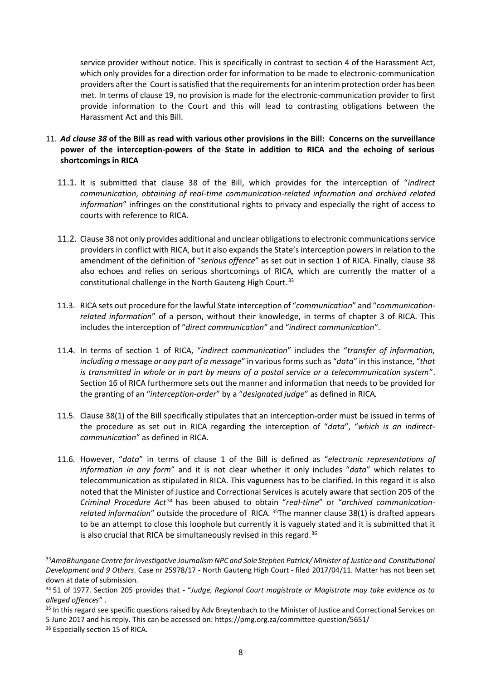service provider without notice. This is specifically in contrast to section 4 of the Harassment Act, which only provides for a direction order for information to be made to electronic-communication providers after the Court is satisfied that the requirements for an interim protection order has been met. In terms of clause 19, no provision is made for the electronic-communication provider to first provide information to the Court and this will lead to contrasting obligations between the Harassment Act and this Bill.

- 11. *Ad clause 38* **of the Bill as read with various other provisions in the Bill: Concerns on the surveillance power of the interception-powers of the State in addition to RICA and the echoing of serious shortcomings in RICA** 
	- 11.1. It is submitted that clause 38 of the Bill, which provides for the interception of "*indirect communication, obtaining of real-time communication-related information and archived related information*" infringes on the constitutional rights to privacy and especially the right of access to courts with reference to RICA*.*
	- 11.2. Clause 38 not only provides additional and unclear obligations to electronic communications service providers in conflict with RICA, but it also expands the State's interception powers in relation to the amendment of the definition of "*serious offence*" as set out in section 1 of RICA*.* Finally, clause 38 also echoes and relies on serious shortcomings of RICA*,* which are currently the matter of a constitutional challenge in the North Gauteng High Court.<sup>33</sup>
	- 11.3. RICA sets out procedure for the lawful State interception of "*communication*" and "*communicationrelated information*" of a person, without their knowledge, in terms of chapter 3 of RICA. This includes the interception of "*direct communication*" and "*indirect communication*".
	- 11.4. In terms of section 1 of RICA, "*indirect communication*" includes the "*transfer of information, including a* message *or any part of a message*" in various forms such as "*data*" in this instance, "*that is transmitted in whole or in part by means of a postal service or a telecommunication system*". Section 16 of RICA furthermore sets out the manner and information that needs to be provided for the granting of an "*interception-order*" by a "*designated judge*" as defined in RICA*.*
	- 11.5. Clause 38(1) of the Bill specifically stipulates that an interception-order must be issued in terms of the procedure as set out in RICA regarding the interception of "*data*", "*which is an indirectcommunication*" as defined in RICA*.*
	- 11.6. However, "*data*" in terms of clause 1 of the Bill is defined as "*electronic representations of information in any form*" and it is not clear whether it only includes "*data*" which relates to telecommunication as stipulated in RICA. This vagueness has to be clarified. In this regard it is also noted that the Minister of Justice and Correctional Services is acutely aware that section 205 of the *Criminal Procedure Act* <sup>34</sup> has been abused to obtain "*real-time*" or "*archived communicationrelated information*" outside the procedure of RICA. <sup>35</sup>The manner clause 38(1) is drafted appears to be an attempt to close this loophole but currently it is vaguely stated and it is submitted that it is also crucial that RICA be simultaneously revised in this regard.<sup>36</sup>

<sup>33</sup>*AmaBhungane Centre for Investigative Journalism NPC and Sole Stephen Patrick/ Minister of Justice and Constitutional Development and 9 Others*. Case nr 25978/17 - North Gauteng High Court - filed 2017/04/11. Matter has not been set down at date of submission.

<sup>34</sup> 51 of 1977. Section 205 provides that - "*Judge, Regional Court magistrate or Magistrate may take evidence as to alleged offences*" .

<sup>&</sup>lt;sup>35</sup> In this regard see specific questions raised by Adv Breytenbach to the Minister of Justice and Correctional Services on 5 June 2017 and his reply. This can be accessed on: https://pmg.org.za/committee-question/5651/

<sup>&</sup>lt;sup>36</sup> Especially section 15 of RICA.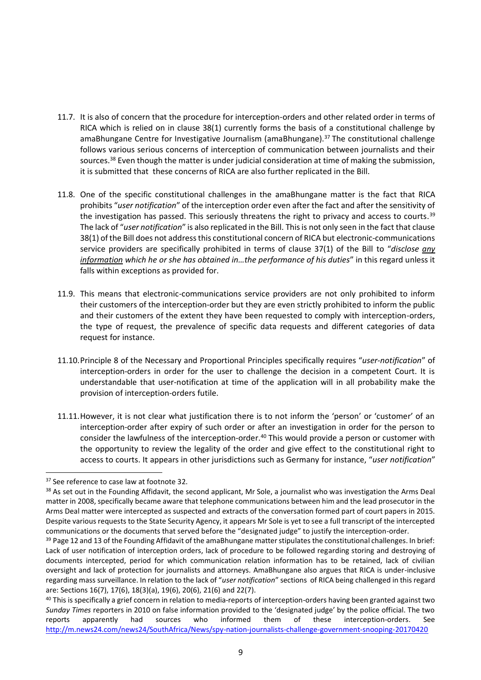- 11.7. It is also of concern that the procedure for interception-orders and other related order in terms of RICA which is relied on in clause 38(1) currently forms the basis of a constitutional challenge by amaBhungane Centre for Investigative Journalism (amaBhungane).<sup>37</sup> The constitutional challenge follows various serious concerns of interception of communication between journalists and their sources.<sup>38</sup> Even though the matter is under judicial consideration at time of making the submission, it is submitted that these concerns of RICA are also further replicated in the Bill.
- 11.8. One of the specific constitutional challenges in the amaBhungane matter is the fact that RICA prohibits "*user notification*" of the interception order even after the fact and after the sensitivity of the investigation has passed. This seriously threatens the right to privacy and access to courts.<sup>39</sup> The lack of "*user notification*" is also replicated in the Bill. This is not only seen in the fact that clause 38(1) of the Bill does not address this constitutional concern of RICA but electronic-communications service providers are specifically prohibited in terms of clause 37(1) of the Bill to "*disclose any information which he or she has obtained in…the performance of his duties*" in this regard unless it falls within exceptions as provided for.
- 11.9. This means that electronic-communications service providers are not only prohibited to inform their customers of the interception-order but they are even strictly prohibited to inform the public and their customers of the extent they have been requested to comply with interception-orders, the type of request, the prevalence of specific data requests and different categories of data request for instance.
- 11.10.Principle 8 of the Necessary and Proportional Principles specifically requires "*user-notification*" of interception-orders in order for the user to challenge the decision in a competent Court. It is understandable that user-notification at time of the application will in all probability make the provision of interception-orders futile.
- 11.11.However, it is not clear what justification there is to not inform the 'person' or 'customer' of an interception-order after expiry of such order or after an investigation in order for the person to consider the lawfulness of the interception-order.<sup>40</sup> This would provide a person or customer with the opportunity to review the legality of the order and give effect to the constitutional right to access to courts. It appears in other jurisdictions such as Germany for instance, "*user notification*"

<sup>&</sup>lt;sup>37</sup> See reference to case law at footnote 32.

<sup>&</sup>lt;sup>38</sup> As set out in the Founding Affidavit, the second applicant, Mr Sole, a journalist who was investigation the Arms Deal matter in 2008, specifically became aware that telephone communications between him and the lead prosecutor in the Arms Deal matter were intercepted as suspected and extracts of the conversation formed part of court papers in 2015. Despite various requests to the State Security Agency, it appears Mr Sole is yet to see a full transcript of the intercepted communications or the documents that served before the "designated judge" to justify the interception-order.

<sup>&</sup>lt;sup>39</sup> Page 12 and 13 of the Founding Affidavit of the amaBhungane matter stipulates the constitutional challenges. In brief: Lack of user notification of interception orders, lack of procedure to be followed regarding storing and destroying of documents intercepted, period for which communication relation information has to be retained, lack of civilian oversight and lack of protection for journalists and attorneys. AmaBhungane also argues that RICA is under-inclusive regarding mass surveillance. In relation to the lack of "*user notification*" sections of RICA being challenged in this regard are: Sections 16(7), 17(6), 18(3)(a), 19(6), 20(6), 21(6) and 22(7).

<sup>&</sup>lt;sup>40</sup> This is specifically a grief concern in relation to media-reports of interception-orders having been granted against two *Sunday Times* reporters in 2010 on false information provided to the 'designated judge' by the police official. The two reports apparently had sources who informed them of these interception-orders. See <http://m.news24.com/news24/SouthAfrica/News/spy-nation-journalists-challenge-government-snooping-20170420>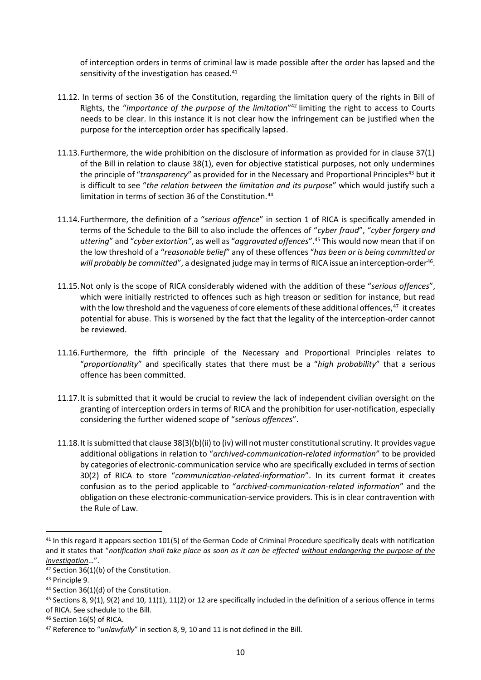of interception orders in terms of criminal law is made possible after the order has lapsed and the sensitivity of the investigation has ceased.<sup>41</sup>

- 11.12. In terms of section 36 of the Constitution, regarding the limitation query of the rights in Bill of Rights, the "*importance of the purpose of the limitation*" <sup>42</sup> limiting the right to access to Courts needs to be clear. In this instance it is not clear how the infringement can be justified when the purpose for the interception order has specifically lapsed.
- 11.13.Furthermore, the wide prohibition on the disclosure of information as provided for in clause 37(1) of the Bill in relation to clause 38(1), even for objective statistical purposes, not only undermines the principle of "*transparency*" as provided for in the Necessary and Proportional Principles<sup>43</sup> but it is difficult to see "*the relation between the limitation and its purpose*" which would justify such a limitation in terms of section 36 of the Constitution.<sup>44</sup>
- 11.14.Furthermore, the definition of a "*serious offence*" in section 1 of RICA is specifically amended in terms of the Schedule to the Bill to also include the offences of "*cyber fraud*", "*cyber forgery and uttering*" and "*cyber extortion"*, as well as "*aggravated offences*".<sup>45</sup> This would now mean that if on the low threshold of a "*reasonable belief*" any of these offences "*has been or is being committed or*  will probably be committed", a designated judge may in terms of RICA issue an interception-order<sup>46</sup>.
- 11.15.Not only is the scope of RICA considerably widened with the addition of these "*serious offences*", which were initially restricted to offences such as high treason or sedition for instance, but read with the low threshold and the vagueness of core elements of these additional offences,<sup>47</sup> it creates potential for abuse. This is worsened by the fact that the legality of the interception-order cannot be reviewed.
- 11.16.Furthermore, the fifth principle of the Necessary and Proportional Principles relates to "*proportionality*" and specifically states that there must be a "*high probability*" that a serious offence has been committed.
- 11.17.It is submitted that it would be crucial to review the lack of independent civilian oversight on the granting of interception orders in terms of RICA and the prohibition for user-notification, especially considering the further widened scope of "*serious offences*".
- 11.18.It is submitted that clause 38(3)(b)(ii) to (iv) will not muster constitutional scrutiny. It provides vague additional obligations in relation to "*archived-communication-related information*" to be provided by categories of electronic-communication service who are specifically excluded in terms of section 30(2) of RICA to store "*communication-related-information*". In its current format it creates confusion as to the period applicable to "*archived-communication-related information*" and the obligation on these electronic-communication-service providers. This is in clear contravention with the Rule of Law.

<sup>&</sup>lt;sup>41</sup> In this regard it appears section 101(5) of the German Code of Criminal Procedure specifically deals with notification and it states that "*notification shall take place as soon as it can be effected without endangering the purpose of the investigation*…".

<sup>42</sup> Section 36(1)(b) of the Constitution.

<sup>43</sup> Principle 9.

<sup>44</sup> Section 36(1)(d) of the Constitution.

 $45$  Sections 8, 9(1), 9(2) and 10, 11(1), 11(2) or 12 are specifically included in the definition of a serious offence in terms of RICA. See schedule to the Bill.

<sup>&</sup>lt;sup>46</sup> Section 16(5) of RICA.

<sup>47</sup> Reference to "*unlawfully*" in section 8, 9, 10 and 11 is not defined in the Bill.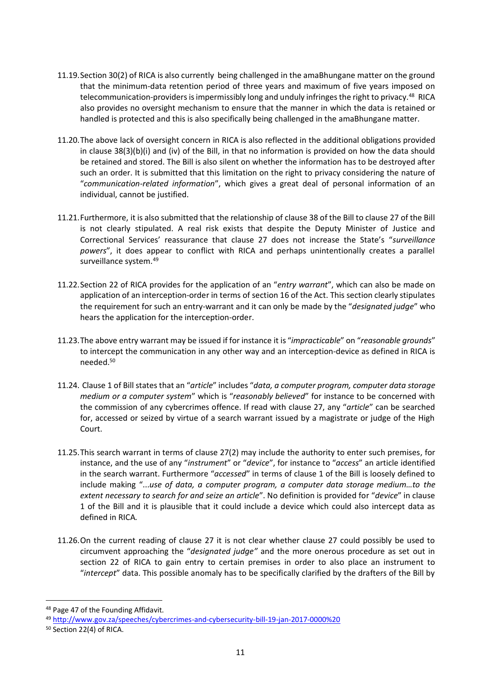- 11.19.Section 30(2) of RICA is also currently being challenged in the amaBhungane matter on the ground that the minimum-data retention period of three years and maximum of five years imposed on telecommunication-providers is impermissibly long and unduly infringes the right to privacy.<sup>48</sup> RICA also provides no oversight mechanism to ensure that the manner in which the data is retained or handled is protected and this is also specifically being challenged in the amaBhungane matter.
- 11.20.The above lack of oversight concern in RICA is also reflected in the additional obligations provided in clause 38(3)(b)(i) and (iv) of the Bill, in that no information is provided on how the data should be retained and stored. The Bill is also silent on whether the information has to be destroyed after such an order. It is submitted that this limitation on the right to privacy considering the nature of "*communication-related information*", which gives a great deal of personal information of an individual, cannot be justified.
- 11.21.Furthermore, it is also submitted that the relationship of clause 38 of the Bill to clause 27 of the Bill is not clearly stipulated. A real risk exists that despite the Deputy Minister of Justice and Correctional Services' reassurance that clause 27 does not increase the State's "*surveillance powers*", it does appear to conflict with RICA and perhaps unintentionally creates a parallel surveillance system.<sup>49</sup>
- 11.22.Section 22 of RICA provides for the application of an "*entry warrant*", which can also be made on application of an interception-order in terms of section 16 of the Act. This section clearly stipulates the requirement for such an entry-warrant and it can only be made by the "*designated judge*" who hears the application for the interception-order.
- 11.23.The above entry warrant may be issued if for instance it is "*impracticable*" on "*reasonable grounds*" to intercept the communication in any other way and an interception-device as defined in RICA is needed.<sup>50</sup>
- 11.24. Clause 1 of Bill states that an "*article*" includes "*data, a computer program, computer data storage medium or a computer system*" which is "*reasonably believed*" for instance to be concerned with the commission of any cybercrimes offence. If read with clause 27, any "*article*" can be searched for, accessed or seized by virtue of a search warrant issued by a magistrate or judge of the High Court.
- 11.25.This search warrant in terms of clause 27(2) may include the authority to enter such premises, for instance, and the use of any "*instrument*" or "*device*", for instance to "*access*" an article identified in the search warrant. Furthermore "*accessed*" in terms of clause 1 of the Bill is loosely defined to include making "...*use of data, a computer program, a computer data storage medium…to the extent necessary to search for and seize an article*". No definition is provided for "*device*" in clause 1 of the Bill and it is plausible that it could include a device which could also intercept data as defined in RICA*.*
- 11.26.On the current reading of clause 27 it is not clear whether clause 27 could possibly be used to circumvent approaching the "*designated judge"* and the more onerous procedure as set out in section 22 of RICA to gain entry to certain premises in order to also place an instrument to "*intercept*" data. This possible anomaly has to be specifically clarified by the drafters of the Bill by

<sup>48</sup> Page 47 of the Founding Affidavit.

<sup>49</sup> [http://www.gov.za/speeches/cybercrimes-and-cybersecurity-bill-19-jan-2017-0000%20](http://www.gov.za/speeches/cybercrimes-and-cybersecurity-bill-19-jan-2017-0000)

<sup>50</sup> Section 22(4) of RICA.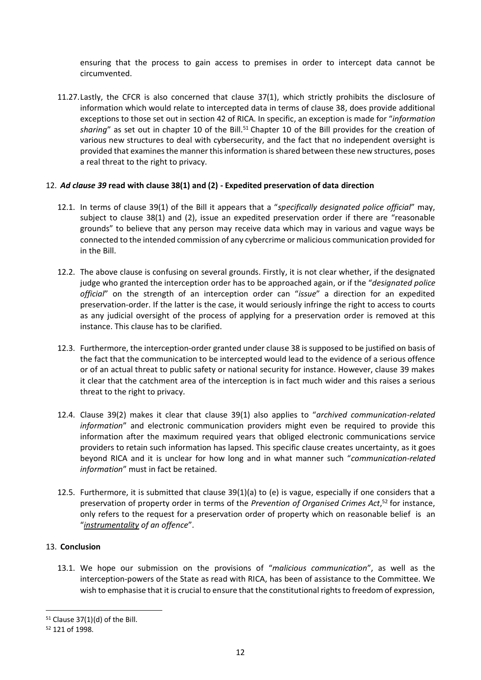ensuring that the process to gain access to premises in order to intercept data cannot be circumvented.

11.27.Lastly, the CFCR is also concerned that clause 37(1), which strictly prohibits the disclosure of information which would relate to intercepted data in terms of clause 38, does provide additional exceptions to those set out in section 42 of RICA. In specific, an exception is made for "*information*  sharing" as set out in chapter 10 of the Bill.<sup>51</sup> Chapter 10 of the Bill provides for the creation of various new structures to deal with cybersecurity, and the fact that no independent oversight is provided that examines the manner this information is shared between these new structures, poses a real threat to the right to privacy.

## 12. *Ad clause 39* **read with clause 38(1) and (2) - Expedited preservation of data direction**

- 12.1. In terms of clause 39(1) of the Bill it appears that a "*specifically designated police official*" may, subject to clause 38(1) and (2), issue an expedited preservation order if there are "reasonable grounds" to believe that any person may receive data which may in various and vague ways be connected to the intended commission of any cybercrime or malicious communication provided for in the Bill.
- 12.2. The above clause is confusing on several grounds. Firstly, it is not clear whether, if the designated judge who granted the interception order has to be approached again, or if the "*designated police official*" on the strength of an interception order can "*issue*" a direction for an expedited preservation-order. If the latter is the case, it would seriously infringe the right to access to courts as any judicial oversight of the process of applying for a preservation order is removed at this instance. This clause has to be clarified.
- 12.3. Furthermore, the interception-order granted under clause 38 is supposed to be justified on basis of the fact that the communication to be intercepted would lead to the evidence of a serious offence or of an actual threat to public safety or national security for instance. However, clause 39 makes it clear that the catchment area of the interception is in fact much wider and this raises a serious threat to the right to privacy.
- 12.4. Clause 39(2) makes it clear that clause 39(1) also applies to "*archived communication-related information*" and electronic communication providers might even be required to provide this information after the maximum required years that obliged electronic communications service providers to retain such information has lapsed. This specific clause creates uncertainty, as it goes beyond RICA and it is unclear for how long and in what manner such "*communication-related information*" must in fact be retained.
- 12.5. Furthermore, it is submitted that clause 39(1)(a) to (e) is vague, especially if one considers that a preservation of property order in terms of the *Prevention of Organised Crimes Act*, <sup>52</sup> for instance, only refers to the request for a preservation order of property which on reasonable belief is an "*instrumentality of an offence*".

# 13. **Conclusion**

13.1. We hope our submission on the provisions of "*malicious communication*", as well as the interception-powers of the State as read with RICA, has been of assistance to the Committee. We wish to emphasise that it is crucial to ensure that the constitutional rights to freedom of expression,

 $51$  Clause 37(1)(d) of the Bill.

<sup>52</sup> 121 of 1998.